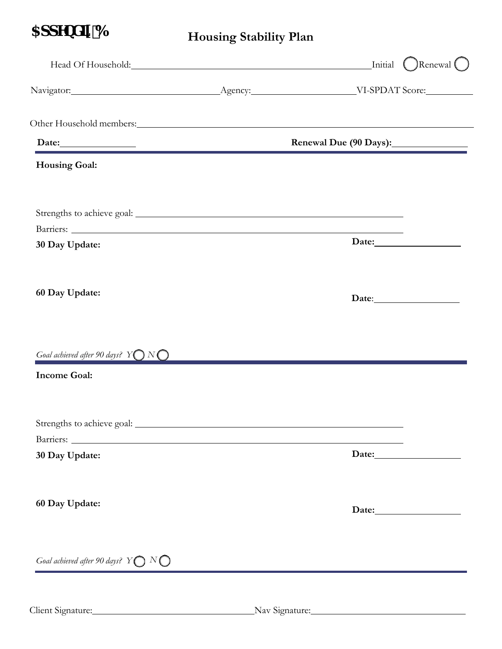## $35$ ddYbX<sub>II</sub> 6

**Housing Stability Plan**

|                                                                           | Head Of Household: <u>Neuronal Alexander Contains and Alexander Containing</u> Initial Content Content Content Content Content Content Content Content Content Content Content Content Content Content Content Content Content Cont |
|---------------------------------------------------------------------------|-------------------------------------------------------------------------------------------------------------------------------------------------------------------------------------------------------------------------------------|
|                                                                           |                                                                                                                                                                                                                                     |
|                                                                           |                                                                                                                                                                                                                                     |
| Date:                                                                     | Renewal Due (90 Days):                                                                                                                                                                                                              |
| <b>Housing Goal:</b>                                                      |                                                                                                                                                                                                                                     |
|                                                                           |                                                                                                                                                                                                                                     |
| 30 Day Update:                                                            |                                                                                                                                                                                                                                     |
| 60 Day Update:                                                            |                                                                                                                                                                                                                                     |
| Goal achieved after 90 days? $Y\bigcirc N\bigcirc$<br><b>Income Goal:</b> |                                                                                                                                                                                                                                     |
|                                                                           |                                                                                                                                                                                                                                     |
| 30 Day Update:                                                            |                                                                                                                                                                                                                                     |
| 60 Day Update:                                                            | Date:                                                                                                                                                                                                                               |
| Goal achieved after 90 days? $Y\bigcirc N\bigcirc$                        |                                                                                                                                                                                                                                     |

Client Signature: Nav Signature: Nav Signature: Nav Signature: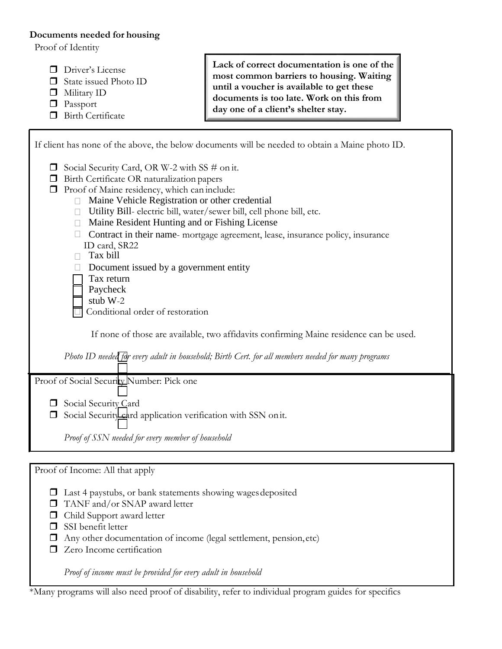## **Documents needed for housing**

Proof of Identity

- Driver's License
- □ State issued Photo ID
- **D** Military ID
- **Passport**
- **Birth Certificate**

**Lack of correct documentation is one of the most common barriers to housing. Waiting until a voucher is available to get these documents is too late. Work on this from day one of a client's shelter stay.**

 Utility Bill- electric bill, water/sewer bill, cell phone bill, etc. Maine Resident Hunting and or Fishing License □ Contract in their name- mortgage agreement, lease, insurance policy, insurance □ Tax bill  $\Box$  Document issued by a government entity  $\Box$  Maine Vehicle Registration or other credential If client has none of the above, the below documents will be needed to obtain a Maine photo ID.  $\Box$  Social Security Card, OR W-2 with SS # on it. **Birth Certificate OR naturalization papers Proof of Maine residency, which can include:** ID card, SR22 Tax return <sup>1</sup> Paycheck stub W-2 Conditional order of restoration If none of those are available, two affidavits confirming Maine residence can be used. *Photo ID needed for every adult in household; Birth Cert. for all members needed for many programs* Proof of Social Security Number: Pick one Social Security Card  $\Box$  Social Security card application verification with SSN on it. *Proof of SSN needed for every member of household* Proof of Income: All that apply

- Last 4 paystubs, or bank statements showing wages deposited
- □ TANF and/or SNAP award letter
- Child Support award letter
- SSI benefit letter
- $\Box$  Any other documentation of income (legal settlement, pension, etc)
- $\Box$  Zero Income certification

*Proof of income must be provided for every adult in household*

\*Many programs will also need proof of disability, refer to individual program guides for specifics